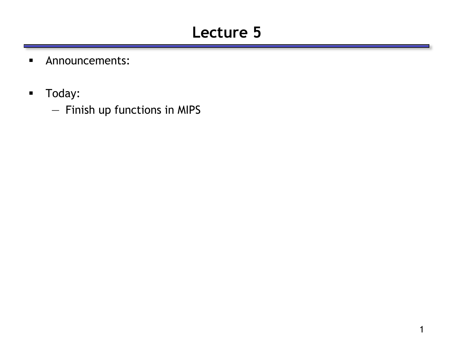# **Lecture 5**

- **Announcements:**
- **Today:** 
	- Finish up functions in MIPS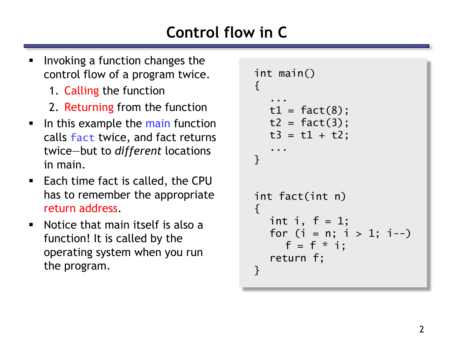# **Control flow in C**

- Invoking a function changes the control flow of a program twice.
	- 1. Calling the function
	- 2. Returning from the function
- In this example the main function calls fact twice, and fact returns twice—but to *different* locations in main.
- Each time fact is called, the CPU has to remember the appropriate return address.
- Notice that main itself is also a function! It is called by the operating system when you run the program.

```
int main()
{f}...
  t1 = fact(8);t2 = fact(3);t3 = t1 + t2;...
}
int fact(int n)
\{int i, f = 1;
  for (i = n; i > 1; i--)f = f * i;return f;
}
```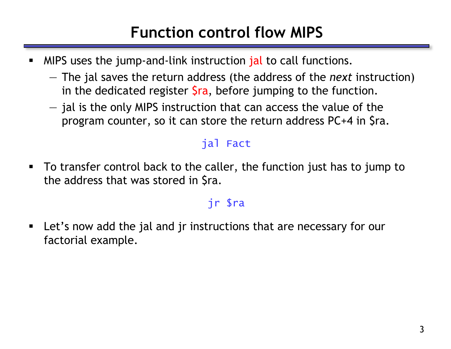### **Function control flow MIPS**

- MIPS uses the jump-and-link instruction jal to call functions.
	- The jal saves the return address (the address of the *next* instruction) in the dedicated register  $\frac{1}{2}$ ra, before jumping to the function.
	- jal is the only MIPS instruction that can access the value of the program counter, so it can store the return address PC+4 in \$ra.

#### jal Fact

 To transfer control back to the caller, the function just has to jump to the address that was stored in \$ra.

#### jr \$ra

 Let's now add the jal and jr instructions that are necessary for our factorial example.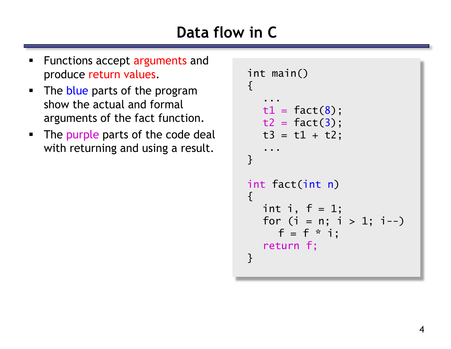# **Data flow in C**

- Functions accept arguments and produce return values.
- The blue parts of the program show the actual and formal arguments of the fact function.
- The purple parts of the code deal with returning and using a result.

```
int main()
{f}...
  t1 = fact(8);t2 = fact(3);t3 = t1 + t2;...
}
int fact(int n)
{f}int i, f = 1;
  for (i = n; i > 1; i--)f = f * i;return f;
}
```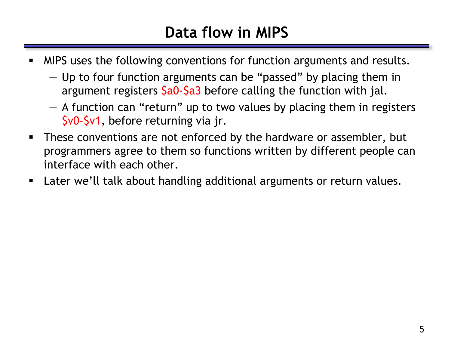# **Data flow in MIPS**

- **MIPS** uses the following conventions for function arguments and results.
	- Up to four function arguments can be "passed" by placing them in argument registers  $\frac{2a}{a}$  before calling the function with jal.
	- A function can "return" up to two values by placing them in registers \$v0-\$v1, before returning via jr.
- These conventions are not enforced by the hardware or assembler, but programmers agree to them so functions written by different people can interface with each other.
- Later we'll talk about handling additional arguments or return values.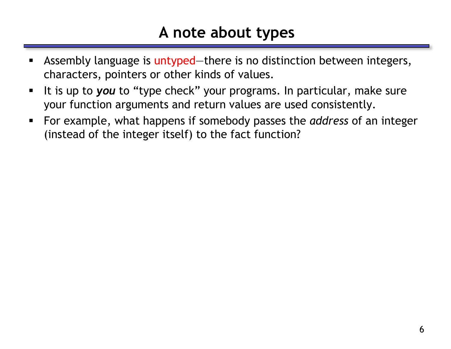#### **A note about types**

- Assembly language is untyped—there is no distinction between integers, characters, pointers or other kinds of values.
- It is up to you to "type check" your programs. In particular, make sure your function arguments and return values are used consistently.
- For example, what happens if somebody passes the *address* of an integer (instead of the integer itself) to the fact function?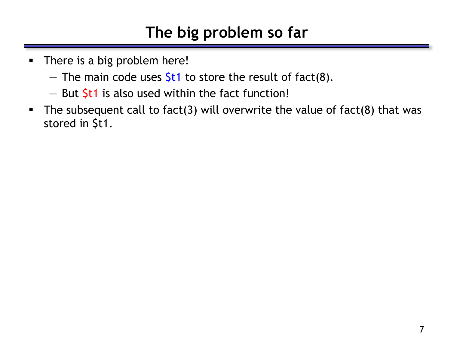# **The big problem so far**

- There is a big problem here!
	- The main code uses  $$t1$  to store the result of fact(8).
	- $-$  But  $$t1$  is also used within the fact function!
- The subsequent call to fact(3) will overwrite the value of fact(8) that was stored in \$t1.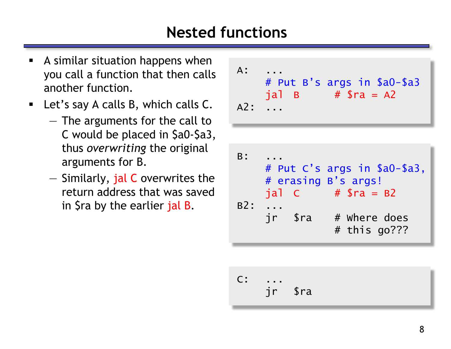### **Nested functions**

- A similar situation happens when you call a function that then calls another function.
- **E** Let's say A calls B, which calls C.
	- The arguments for the call to C would be placed in \$a0-\$a3, thus *overwriting* the original arguments for B.
	- Similarly, jal C overwrites the return address that was saved in \$ra by the earlier jal B.

| $A$ :<br>$A2:$ | # Put B's args in \$a0-\$a3<br>$jal \tB \t# $ra = A2$ |
|----------------|-------------------------------------------------------|
|                |                                                       |
| $B$ :          | # Put C's args in \$a0-\$a3,<br># erasing B's args!   |

# erasing B's args! jal C # \$ra = B2 B2: ... jr \$ra # Where does # this go???

C: ... jr \$ra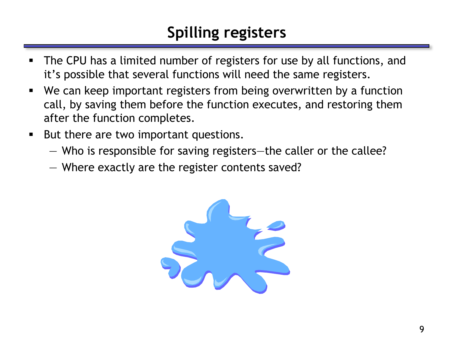# **Spilling registers**

- The CPU has a limited number of registers for use by all functions, and it's possible that several functions will need the same registers.
- We can keep important registers from being overwritten by a function call, by saving them before the function executes, and restoring them after the function completes.
- But there are two important questions.
	- Who is responsible for saving registers—the caller or the callee?
	- Where exactly are the register contents saved?

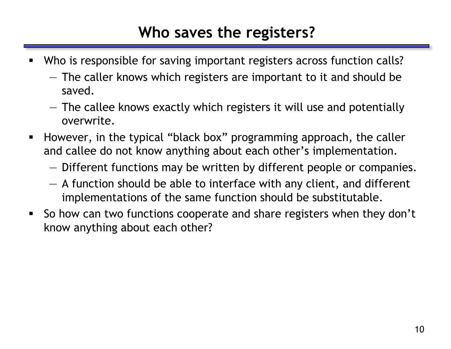#### **Who saves the registers?**

- Who is responsible for saving important registers across function calls?
	- The caller knows which registers are important to it and should be saved.
	- The callee knows exactly which registers it will use and potentially overwrite.
- **However, in the typical "black box" programming approach, the caller** and callee do not know anything about each other's implementation.
	- Different functions may be written by different people or companies.
	- A function should be able to interface with any client, and different implementations of the same function should be substitutable.
- So how can two functions cooperate and share registers when they don't know anything about each other?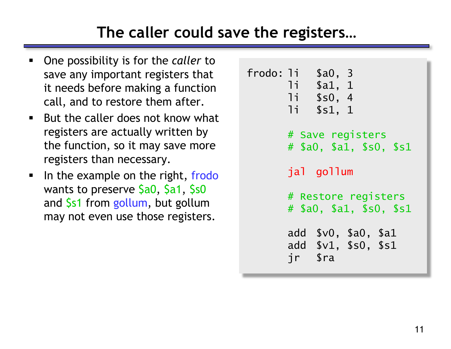# **The caller could save the registers…**

- One possibility is for the *caller* to save any important registers that it needs before making a function call, and to restore them after.
- $\blacksquare$  But the caller does not know what registers are actually written by the function, so it may save more registers than necessary.
- In the example on the right, frodo wants to preserve \$a0, \$a1, \$s0 and \$s1 from gollum, but gollum may not even use those registers.

```
frodo: li $a0, 3
      li $a1, 1
      li $s0, 4
      li $s1, 1
      # Save registers
      # $a0, $a1, $s0, $s1
      jal gollum
      # Restore registers
      # $a0, $a1, $s0, $s1
      add $v0, $a0, $a1
      add $v1, $s0, $s1
      jr $ra
```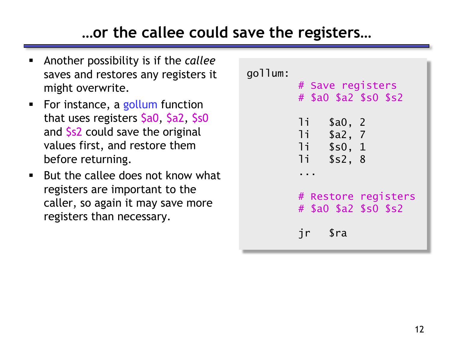### **…or the callee could save the registers…**

- Another possibility is if the *callee* saves and restores any registers it might overwrite.
- For instance, a gollum function that uses registers \$a0, \$a2, \$s0 and \$s2 could save the original values first, and restore them before returning.
- $\blacksquare$  But the callee does not know what registers are important to the caller, so again it may save more registers than necessary.

gollum: # Save registers # \$a0 \$a2 \$s0 \$s2 li \$a0, 2 li \$a2, 7 li \$s0, 1 li \$s2, 8 ... # Restore registers # \$a0 \$a2 \$s0 \$s2 jr \$ra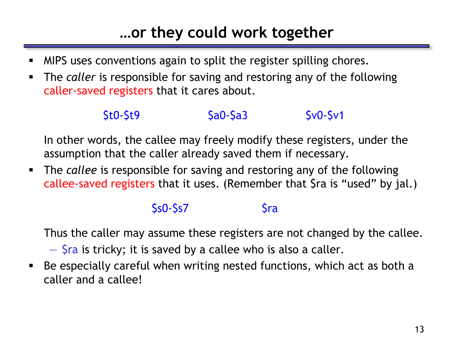# **…or they could work together**

- MIPS uses conventions again to split the register spilling chores.
- The *caller* is responsible for saving and restoring any of the following caller-saved registers that it cares about.

#### \$t0-\$t9 \$a0-\$a3 \$v0-\$v1

In other words, the callee may freely modify these registers, under the assumption that the caller already saved them if necessary.

 The *callee* is responsible for saving and restoring any of the following callee-saved registers that it uses. (Remember that \$ra is "used" by jal.)

#### $$s0-$s7$   $$ra$

Thus the caller may assume these registers are not changed by the callee.

 $-$  \$ra is tricky; it is saved by a callee who is also a caller.

 Be especially careful when writing nested functions, which act as both a caller and a callee!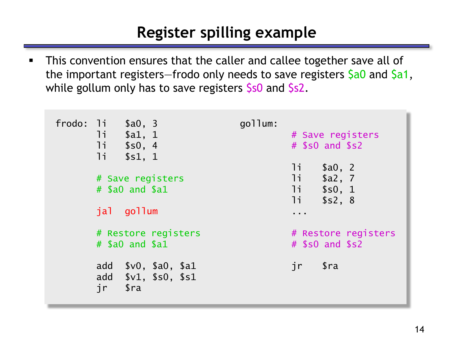### **Register spilling example**

**This convention ensures that the caller and callee together save all of** the important registers–frodo only needs to save registers \$a0 and \$a1, while gollum only has to save registers \$s0 and \$s2.

| frodo: li \$a0, 3<br>11<br>\$a1, 1<br>11<br>\$s0, 4<br>11<br>\$s1, 1                    | gollum: | # Save registers<br>$#$ \$s0 and \$s2                                |
|-----------------------------------------------------------------------------------------|---------|----------------------------------------------------------------------|
| # Save registers<br>$#$ \$a0 and \$a1                                                   |         | li<br>\$a0, 2<br>11<br>\$a2, 7<br>1i<br>\$s0, 1<br>$11 -$<br>\$s2, 8 |
| jal gollum                                                                              |         | .                                                                    |
| # Restore registers<br>$#$ \$a0 and \$a1                                                |         | # Restore registers<br>$#$ \$s0 and \$s2                             |
| \$v0, \$a0, \$a1<br>add<br>add $$v1, $s0, $s1$<br>jr<br>$\operatorname{\mathfrak{Sra}}$ |         | $\operatorname{\mathfrak{S}ra}$<br>jr                                |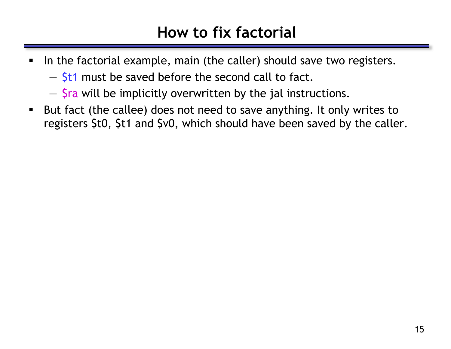#### **How to fix factorial**

- In the factorial example, main (the caller) should save two registers.
	- $-$  \$t1 must be saved before the second call to fact.
	- \$ra will be implicitly overwritten by the jal instructions.
- But fact (the callee) does not need to save anything. It only writes to registers \$t0, \$t1 and \$v0, which should have been saved by the caller.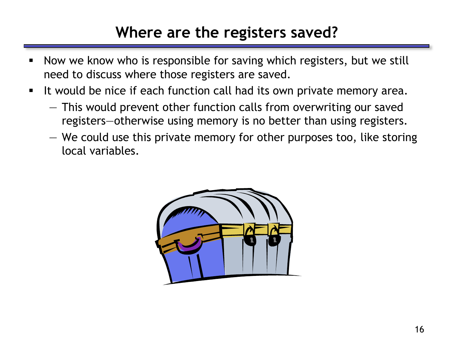#### **Where are the registers saved?**

- **Now we know who is responsible for saving which registers, but we still** need to discuss where those registers are saved.
- It would be nice if each function call had its own private memory area.
	- This would prevent other function calls from overwriting our saved registers—otherwise using memory is no better than using registers.
	- We could use this private memory for other purposes too, like storing local variables.

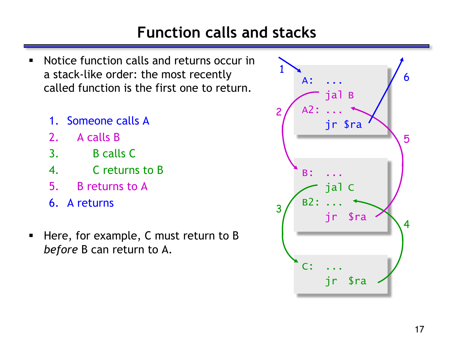## **Function calls and stacks**

- Notice function calls and returns occur in a stack-like order: the most recently called function is the first one to return.
	- 1. Someone calls A
	- 2. A calls B
	- 3. B calls C
	- 4. C returns to B
	- 5. B returns to A
	- 6. A returns
- Here, for example, C must return to B *before* B can return to A.

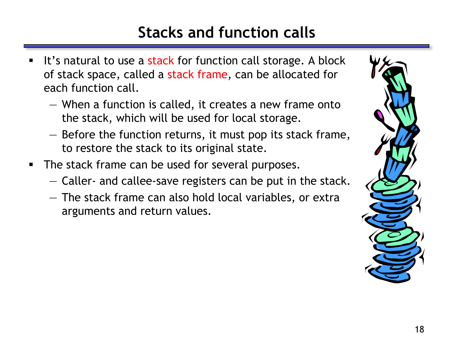# **Stacks and function calls**

- It's natural to use a stack for function call storage. A block of stack space, called a stack frame, can be allocated for each function call.
	- When a function is called, it creates a new frame onto the stack, which will be used for local storage.
	- Before the function returns, it must pop its stack frame, to restore the stack to its original state.
- The stack frame can be used for several purposes.
	- Caller- and callee-save registers can be put in the stack.
	- The stack frame can also hold local variables, or extra arguments and return values.

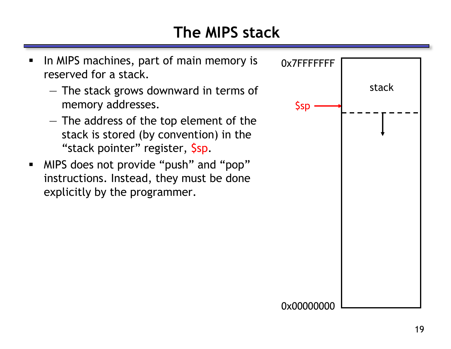# **The MIPS stack**

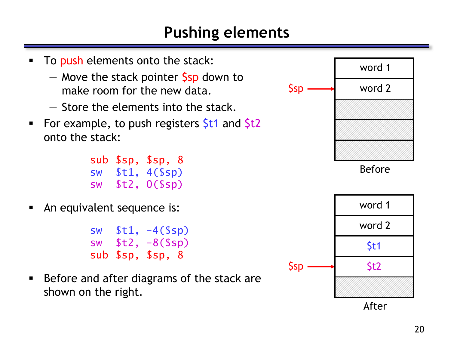#### **Pushing elements**

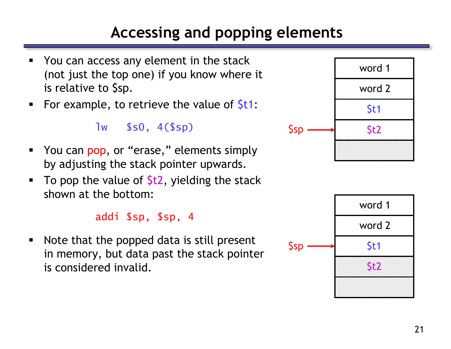# **Accessing and popping elements**

- You can access any element in the stack (not just the top one) if you know where it is relative to \$sp.
- For example, to retrieve the value of  $St1$ :

lw \$s0, 4(\$sp)

- You can pop, or "erase," elements simply by adjusting the stack pointer upwards.
- To pop the value of  $$t2$ , yielding the stack shown at the bottom:

addi \$sp, \$sp, 4

• Note that the popped data is still present in memory, but data past the stack pointer is considered invalid.